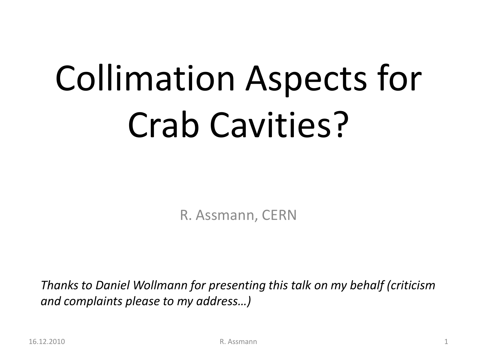# Collimation Aspects for Crab Cavities?

R. Assmann, CERN

*Thanks to Daniel Wollmann for presenting this talk on my behalf (criticism and complaints please to my address…)*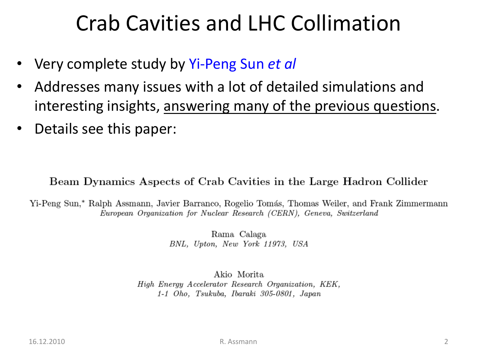#### Crab Cavities and LHC Collimation

- Very complete study by Yi-Peng Sun *et al*
- Addresses many issues with a lot of detailed simulations and interesting insights, answering many of the previous questions.
- Details see this paper:

#### Beam Dynamics Aspects of Crab Cavities in the Large Hadron Collider

Yi-Peng Sun,\* Ralph Assmann, Javier Barranco, Rogelio Tomás, Thomas Weiler, and Frank Zimmermann European Organization for Nuclear Research (CERN), Geneva, Switzerland

> Rama Calaga BNL, Upton, New York 11973, USA

Akio Morita High Energy Accelerator Research Organization, KEK, 1-1 Oho, Tsukuba, Ibaraki 305-0801, Japan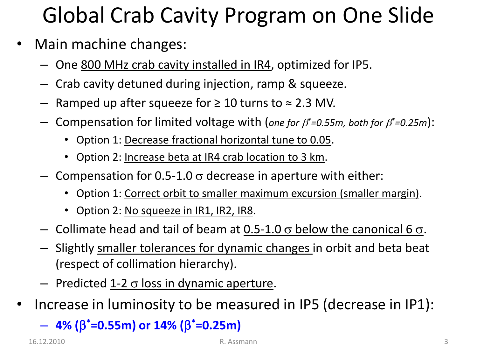# Global Crab Cavity Program on One Slide

- Main machine changes:
	- One 800 MHz crab cavity installed in IR4, optimized for IP5.
	- Crab cavity detuned during injection, ramp & squeeze.
	- Ramped up after squeeze for  $\geq 10$  turns to  $\approx 2.3$  MV.
	- $-$  Compensation for limited voltage with (*one for*  $\beta^*$ *=0.55m, both for*  $\beta^*$ *=0.25m*):
		- Option 1: Decrease fractional horizontal tune to 0.05.
		- Option 2: Increase beta at IR4 crab location to 3 km.
	- Compensation for 0.5-1.0  $\sigma$  decrease in aperture with either:
		- Option 1: Correct orbit to smaller maximum excursion (smaller margin).
		- Option 2: No squeeze in IR1, IR2, IR8.
	- Collimate head and tail of beam at  $0.5$ -1.0  $\sigma$  below the canonical 6  $\sigma$ .
	- Slightly smaller tolerances for dynamic changes in orbit and beta beat (respect of collimation hierarchy).
	- Predicted  $1-2 \sigma$  loss in dynamic aperture.
- Increase in luminosity to be measured in IP5 (decrease in IP1):

– **4% (**b **\*=0.55m) or 14% (**b **\*=0.25m)**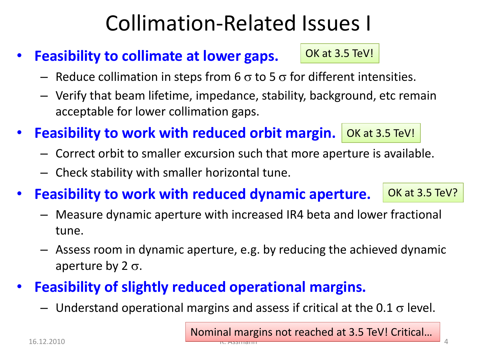#### Collimation-Related Issues I

- **Feasibility to collimate at lower gaps.**
	- Reduce collimation in steps from 6  $\sigma$  to 5  $\sigma$  for different intensities.
	- Verify that beam lifetime, impedance, stability, background, etc remain acceptable for lower collimation gaps.
- Feasibility to work with reduced orbit margin. **OK at 3.5 TeV!** 
	- Correct orbit to smaller excursion such that more aperture is available.
	- Check stability with smaller horizontal tune.
- **Feasibility to work with reduced dynamic aperture.** OK at 3.5 TeV?
	- Measure dynamic aperture with increased IR4 beta and lower fractional tune.
	- Assess room in dynamic aperture, e.g. by reducing the achieved dynamic aperture by 2  $\sigma$ .
- **Feasibility of slightly reduced operational margins.**
	- Understand operational margins and assess if critical at the 0.1  $\sigma$  level.

Nominal margins not reached at 3.5 TeV! Critical…

OK at 3.5 TeV!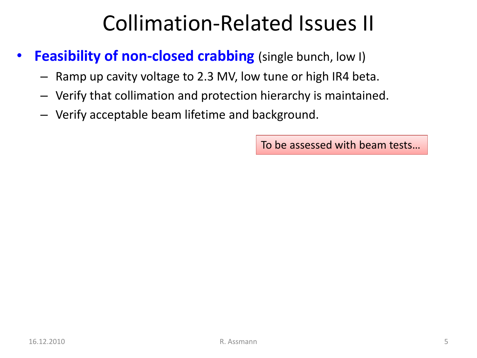### Collimation-Related Issues II

- **Feasibility of non-closed crabbing** (single bunch, low I)
	- Ramp up cavity voltage to 2.3 MV, low tune or high IR4 beta.
	- Verify that collimation and protection hierarchy is maintained.
	- Verify acceptable beam lifetime and background.

To be assessed with beam tests…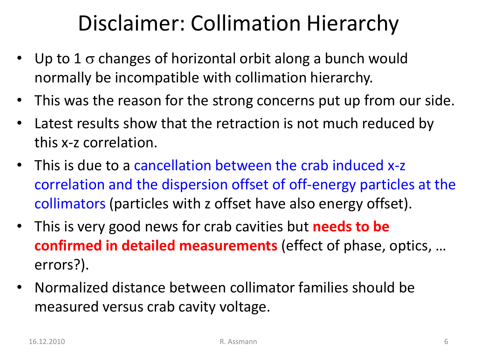### Disclaimer: Collimation Hierarchy

- Up to  $1\,\sigma$  changes of horizontal orbit along a bunch would normally be incompatible with collimation hierarchy.
- This was the reason for the strong concerns put up from our side.
- Latest results show that the retraction is not much reduced by this x-z correlation.
- This is due to a cancellation between the crab induced x-z correlation and the dispersion offset of off-energy particles at the collimators (particles with z offset have also energy offset).
- This is very good news for crab cavities but **needs to be confirmed in detailed measurements** (effect of phase, optics, … errors?).
- Normalized distance between collimator families should be measured versus crab cavity voltage.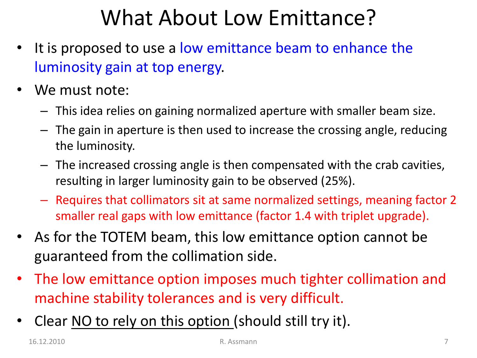### What About Low Emittance?

- It is proposed to use a low emittance beam to enhance the luminosity gain at top energy.
- We must note:
	- This idea relies on gaining normalized aperture with smaller beam size.
	- The gain in aperture is then used to increase the crossing angle, reducing the luminosity.
	- The increased crossing angle is then compensated with the crab cavities, resulting in larger luminosity gain to be observed (25%).
	- Requires that collimators sit at same normalized settings, meaning factor 2 smaller real gaps with low emittance (factor 1.4 with triplet upgrade).
- As for the TOTEM beam, this low emittance option cannot be guaranteed from the collimation side.
- The low emittance option imposes much tighter collimation and machine stability tolerances and is very difficult.
- Clear NO to rely on this option (should still try it).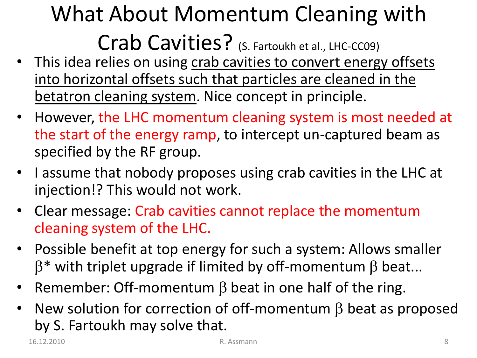### What About Momentum Cleaning with Crab Cavities? (S. Fartoukh et al., LHC-CC09)

- This idea relies on using crab cavities to convert energy offsets into horizontal offsets such that particles are cleaned in the betatron cleaning system. Nice concept in principle.
- However, the LHC momentum cleaning system is most needed at the start of the energy ramp, to intercept un-captured beam as specified by the RF group.
- I assume that nobody proposes using crab cavities in the LHC at injection!? This would not work.
- Clear message: Crab cavities cannot replace the momentum cleaning system of the LHC.
- Possible benefit at top energy for such a system: Allows smaller  $\beta^*$  with triplet upgrade if limited by off-momentum  $\beta$  beat...
- Remember: Off-momentum  $\beta$  beat in one half of the ring.
- New solution for correction of off-momentum  $\beta$  beat as proposed by S. Fartoukh may solve that.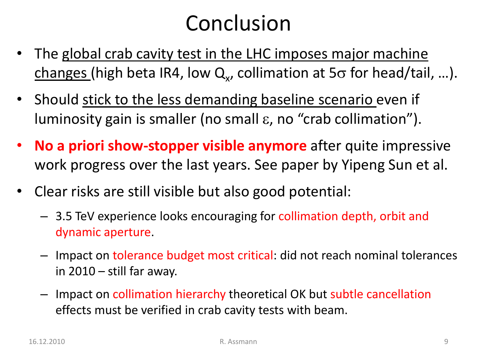#### Conclusion

- The global crab cavity test in the LHC imposes major machine  $\overline{{\mathsf{changes}}}$  (high beta IR4, low  ${\mathsf Q}_{\mathsf x}$ , collimation at 5 $\sigma$  for head/tail, ...).
- Should stick to the less demanding baseline scenario even if luminosity gain is smaller (no small e, no "crab collimation").
- **No a priori show-stopper visible anymore** after quite impressive work progress over the last years. See paper by Yipeng Sun et al.
- Clear risks are still visible but also good potential:
	- 3.5 TeV experience looks encouraging for collimation depth, orbit and dynamic aperture.
	- Impact on tolerance budget most critical: did not reach nominal tolerances in  $2010 -$  still far away.
	- Impact on collimation hierarchy theoretical OK but subtle cancellation effects must be verified in crab cavity tests with beam.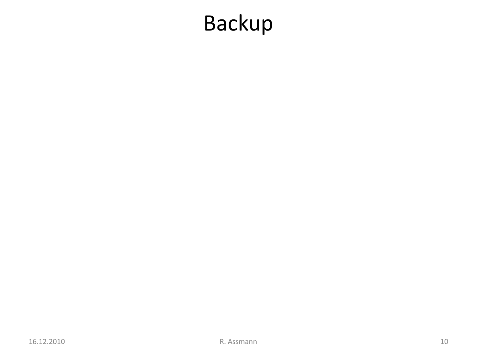### Backup